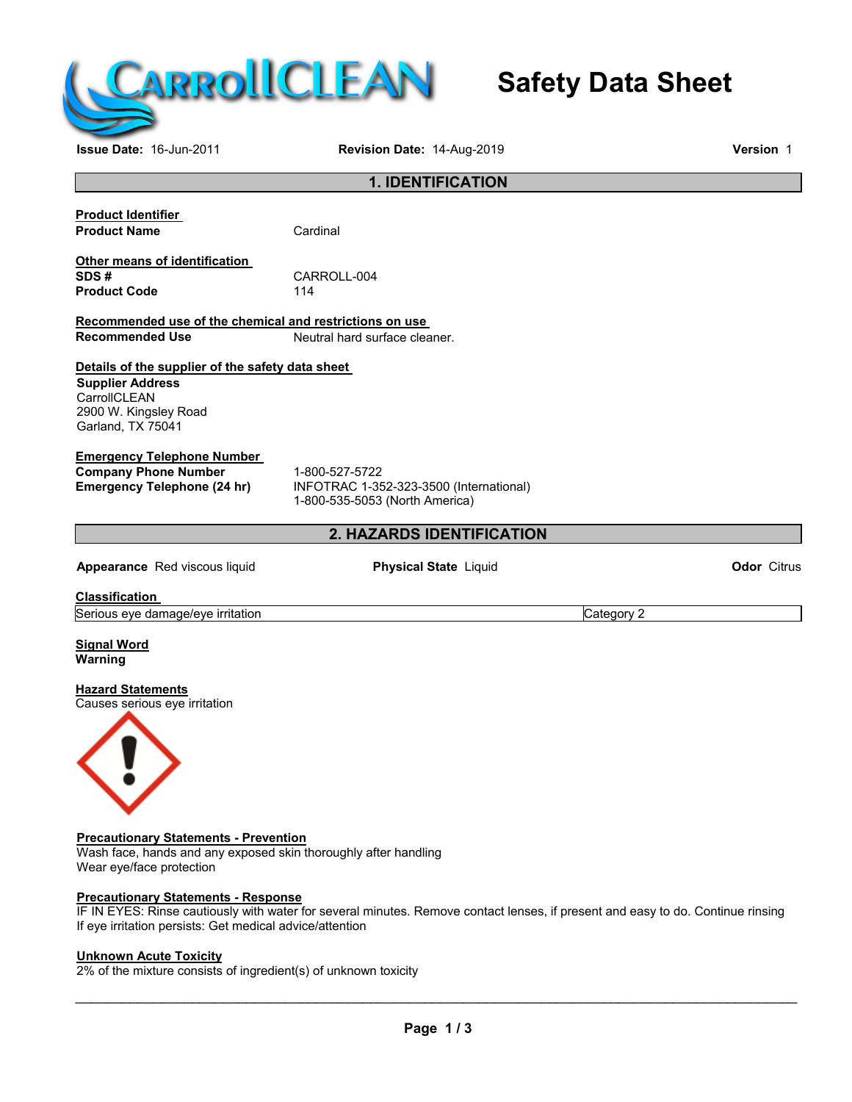

# **Safety Data Sheet**

# **Issue Date:** 16-Jun-2011 **Revision Date:** 14-Aug-2019 **Version** 1 **1. IDENTIFICATION Product Identifier Product Name** Cardinal **Other means of identification**  CARROLL-004<br>114 **Product Code Recommended use of the chemical and restrictions on use Neutral hard surface cleaner. Details of the supplier of the safety data sheet Supplier Address CarrollCLEAN** 2900 W. Kingsley Road Garland, TX 75041 **Emergency Telephone Number Company Phone Number** 1-800-527-5722<br> **Emergency Telephone (24 hr)** INFOTRAC 1-35 **Emergency Telephone (24 hr)** INFOTRAC 1-352-323-3500 (International) 1-800-535-5053 (North America) **2. HAZARDS IDENTIFICATION Appearance** Red viscous liquid **Physical State** Liquid **Odor** Citrus **Classification**  Serious eye damage/eye irritation contract the contract of category 2 Category 2 **Signal Word Warning Hazard Statements** Causes serious eye irritation **Precautionary Statements - Prevention** Wash face, hands and any exposed skin thoroughly after handling Wear eye/face protection **Precautionary Statements - Response** IF IN EYES: Rinse cautiously with water for several minutes. Remove contact lenses, if present and easy to do. Continue rinsing If eye irritation persists: Get medical advice/attention

# **Unknown Acute Toxicity**

2% of the mixture consists of ingredient(s) of unknown toxicity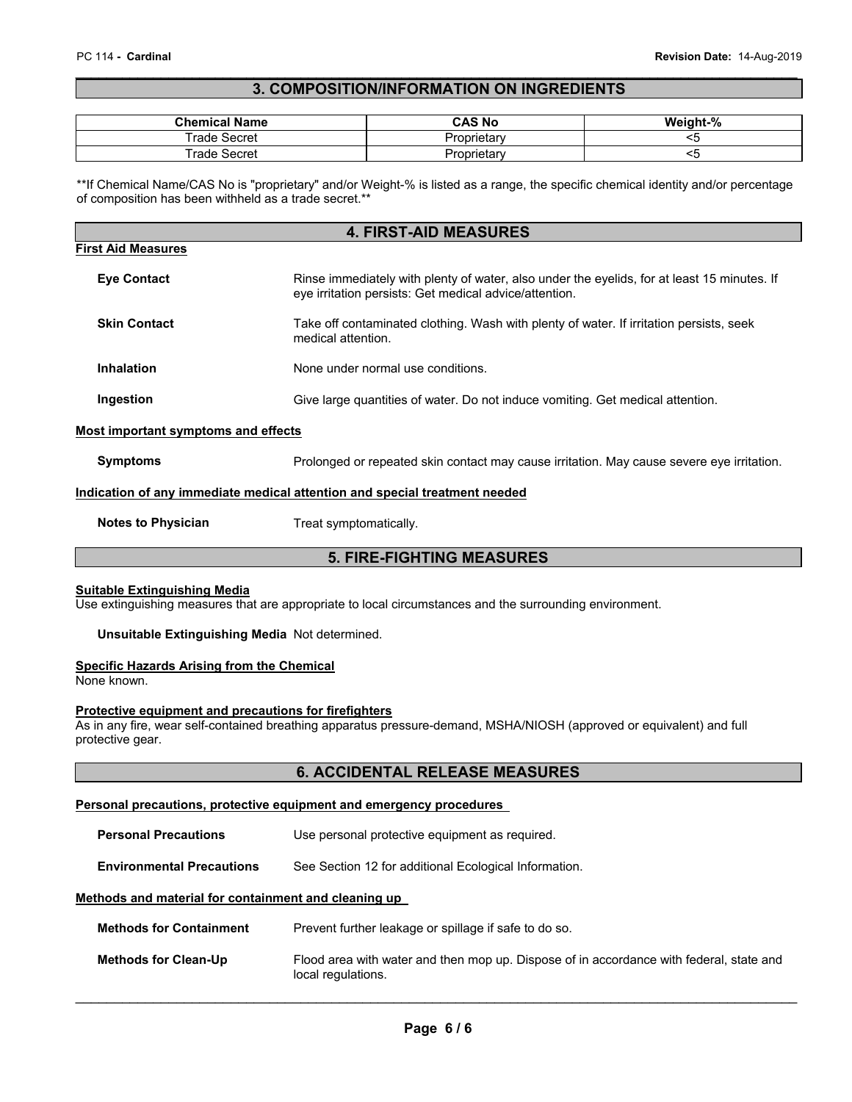#### \_\_\_\_\_\_\_\_\_\_\_\_\_\_\_\_\_\_\_\_\_\_\_\_\_\_\_\_\_\_\_\_\_\_\_\_\_\_\_\_\_\_\_\_\_\_\_\_\_\_\_\_\_\_\_\_\_\_\_\_\_\_\_\_\_\_\_\_\_\_\_\_\_\_\_\_\_\_\_\_\_\_\_\_\_\_\_\_\_\_\_\_\_ **3. COMPOSITION/INFORMATION ON INGREDIENTS**

| <b>Chemical Name</b> | CAS No            | Weight-% |
|----------------------|-------------------|----------|
| rade<br>Secret       | …oprietar∨<br>۰,۰ |          |
| rade<br>Secret       | ?roprietarv<br>◡  | . .      |

\*\*If Chemical Name/CAS No is "proprietary" and/or Weight-% is listed as a range, the specific chemical identity and/or percentage of composition has been withheld as a trade secret.\*\*

|                                     | <b>4. FIRST-AID MEASURES</b>                                                                                                                          |
|-------------------------------------|-------------------------------------------------------------------------------------------------------------------------------------------------------|
| <b>First Aid Measures</b>           |                                                                                                                                                       |
| <b>Eve Contact</b>                  | Rinse immediately with plenty of water, also under the eyelids, for at least 15 minutes. If<br>eye irritation persists: Get medical advice/attention. |
| <b>Skin Contact</b>                 | Take off contaminated clothing. Wash with plenty of water. If irritation persists, seek<br>medical attention.                                         |
| Inhalation                          | None under normal use conditions.                                                                                                                     |
| Ingestion                           | Give large quantities of water. Do not induce vomiting. Get medical attention.                                                                        |
| Most important symptoms and effects |                                                                                                                                                       |

# **Symptoms** Prolonged or repeated skin contact may cause irritation. May cause severe eye irritation.

#### **Indication of any immediate medical attention and special treatment needed**

**Notes to Physician**  Treat symptomatically.

# **5. FIRE-FIGHTING MEASURES**

#### **Suitable Extinguishing Media**

Use extinguishing measures that are appropriate to local circumstances and the surrounding environment.

#### **Unsuitable Extinguishing Media** Not determined.

# **Specific Hazards Arising from the Chemical**

None known.

# **Protective equipment and precautions for firefighters**

As in any fire, wear self-contained breathing apparatus pressure-demand, MSHA/NIOSH (approved or equivalent) and full protective gear.

# **6. ACCIDENTAL RELEASE MEASURES**

# **Personal precautions, protective equipment and emergency procedures**

| <b>Personal Precautions</b>                          | Use personal protective equipment as required.                                                                |
|------------------------------------------------------|---------------------------------------------------------------------------------------------------------------|
| <b>Environmental Precautions</b>                     | See Section 12 for additional Ecological Information.                                                         |
| Methods and material for containment and cleaning up |                                                                                                               |
| <b>Methods for Containment</b>                       | Prevent further leakage or spillage if safe to do so.                                                         |
| <b>Methods for Clean-Up</b>                          | Flood area with water and then mop up. Dispose of in accordance with federal, state and<br>local regulations. |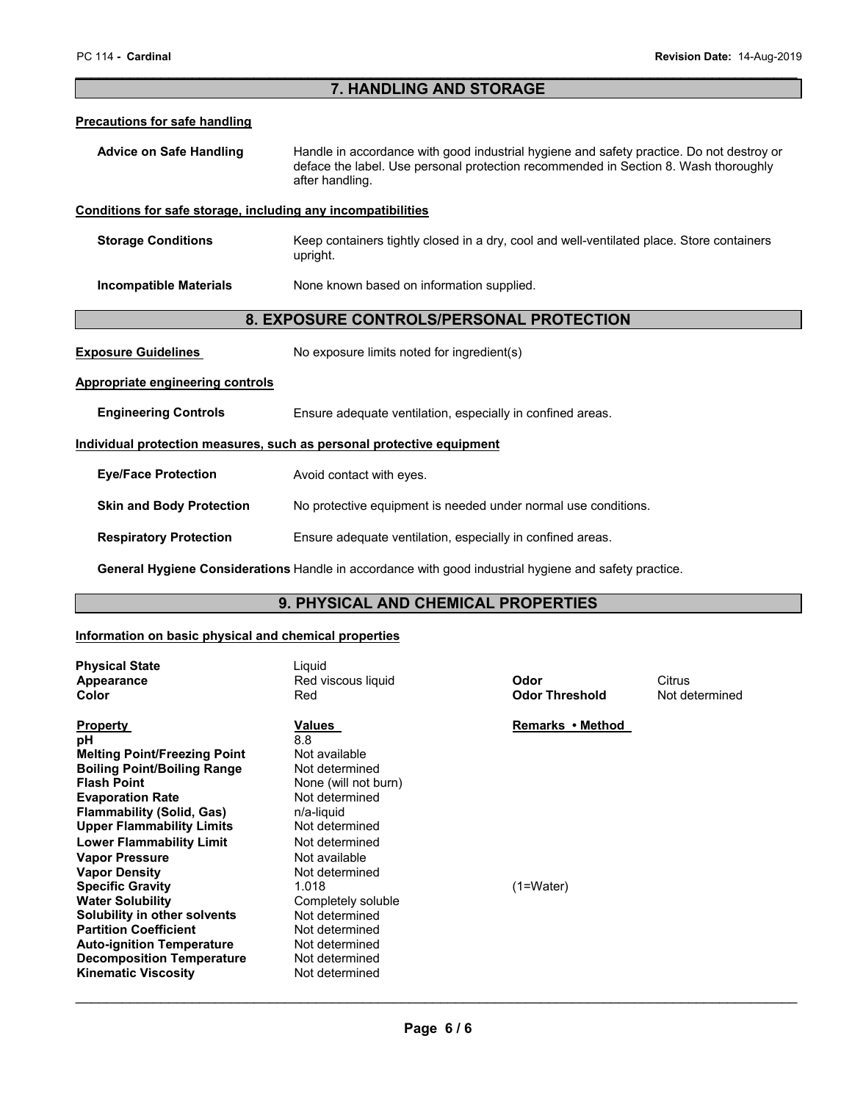#### \_\_\_\_\_\_\_\_\_\_\_\_\_\_\_\_\_\_\_\_\_\_\_\_\_\_\_\_\_\_\_\_\_\_\_\_\_\_\_\_\_\_\_\_\_\_\_\_\_\_\_\_\_\_\_\_\_\_\_\_\_\_\_\_\_\_\_\_\_\_\_\_\_\_\_\_\_\_\_\_\_\_\_\_\_\_\_\_\_\_\_\_\_ **7. HANDLING AND STORAGE**

#### **Precautions for safe handling**

| <b>Advice on Safe Handling</b> | Handle in accordance with good industrial hygiene and safety practice. Do not destroy or |
|--------------------------------|------------------------------------------------------------------------------------------|
|                                | deface the label. Use personal protection recommended in Section 8. Wash thoroughly      |
|                                | after handling.                                                                          |

#### **Conditions for safe storage, including any incompatibilities**

**Storage Conditions Keep containers tightly closed in a dry, cool and well-ventilated place. Store containers** upright.

**Incompatible Materials None known based on information supplied.** 

# **8. EXPOSURE CONTROLS/PERSONAL PROTECTION**

**Exposure Guidelines** No exposure limits noted for ingredient(s)

# **Appropriate engineering controls**

**Engineering Controls Ensure adequate ventilation, especially in confined areas.** 

#### **Individual protection measures, such as personal protective equipment**

| <b>Eye/Face Protection</b> | Avoid contact with eyes. |
|----------------------------|--------------------------|
|----------------------------|--------------------------|

**Skin and Body Protection No protective equipment is needed under normal use conditions.** 

**Respiratory Protection Ensure adequate ventilation, especially in confined areas.** 

**General Hygiene Considerations** Handle in accordance with good industrial hygiene and safety practice.

# **9. PHYSICAL AND CHEMICAL PROPERTIES**

#### **Information on basic physical and chemical properties**

| <b>Physical State</b><br>Appearance<br>Color                                                                                                                                                                                                                                                                                                                                                                                                                                                                  | Liquid<br>Red viscous liquid<br>Red                                                                                                                                                                                                                                                           | Odor<br><b>Odor Threshold</b>   | Citrus<br>Not determined |
|---------------------------------------------------------------------------------------------------------------------------------------------------------------------------------------------------------------------------------------------------------------------------------------------------------------------------------------------------------------------------------------------------------------------------------------------------------------------------------------------------------------|-----------------------------------------------------------------------------------------------------------------------------------------------------------------------------------------------------------------------------------------------------------------------------------------------|---------------------------------|--------------------------|
| <b>Property</b><br>рH<br><b>Melting Point/Freezing Point</b><br><b>Boiling Point/Boiling Range</b><br><b>Flash Point</b><br><b>Evaporation Rate</b><br><b>Flammability (Solid, Gas)</b><br><b>Upper Flammability Limits</b><br><b>Lower Flammability Limit</b><br><b>Vapor Pressure</b><br><b>Vapor Density</b><br><b>Specific Gravity</b><br><b>Water Solubility</b><br>Solubility in other solvents<br><b>Partition Coefficient</b><br><b>Auto-ignition Temperature</b><br><b>Decomposition Temperature</b> | <b>Values</b><br>8.8<br>Not available<br>Not determined<br>None (will not burn)<br>Not determined<br>n/a-liquid<br>Not determined<br>Not determined<br>Not available<br>Not determined<br>1.018<br>Completely soluble<br>Not determined<br>Not determined<br>Not determined<br>Not determined | Remarks • Method<br>$(1=Water)$ |                          |
| <b>Kinematic Viscosity</b>                                                                                                                                                                                                                                                                                                                                                                                                                                                                                    | Not determined                                                                                                                                                                                                                                                                                |                                 |                          |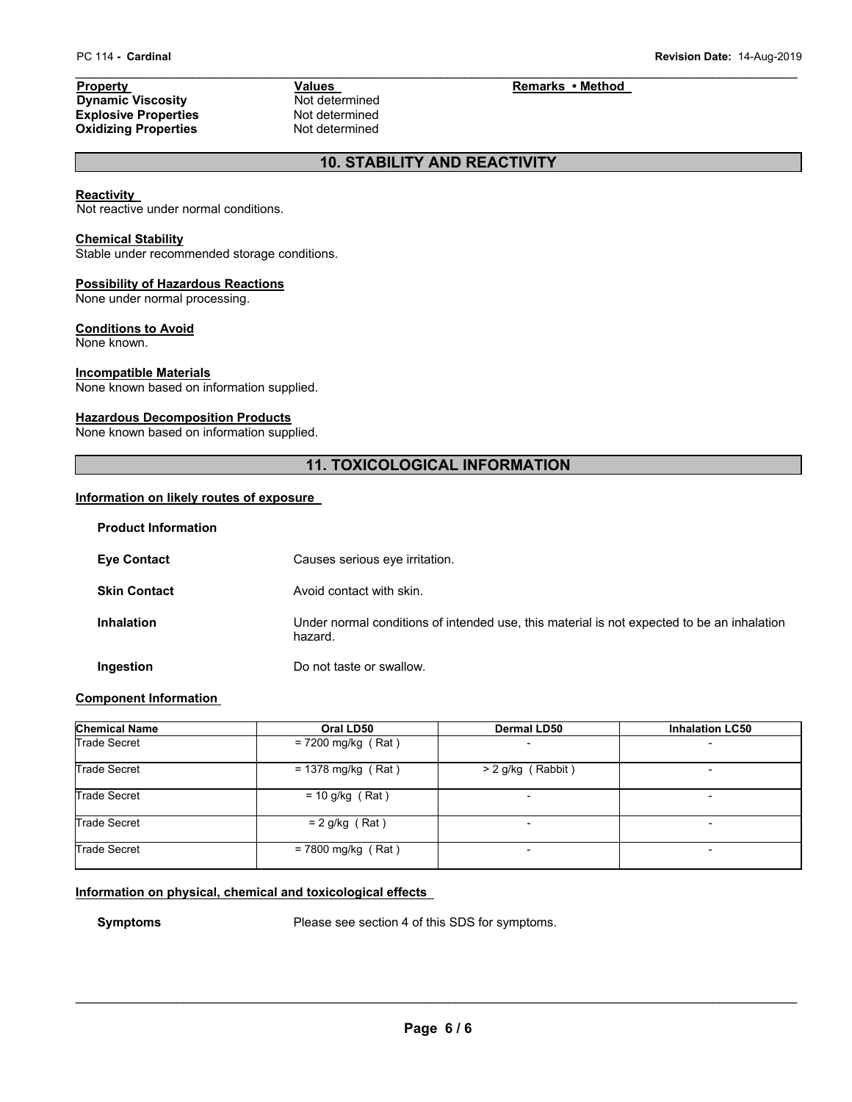\_\_\_\_\_\_\_\_\_\_\_\_\_\_\_\_\_\_\_\_\_\_\_\_\_\_\_\_\_\_\_\_\_\_\_\_\_\_\_\_\_\_\_\_\_\_\_\_\_\_\_\_\_\_\_\_\_\_\_\_\_\_\_\_\_\_\_\_\_\_\_\_\_\_\_\_\_\_\_\_\_\_\_\_\_\_\_\_\_\_\_\_\_ **Property**<br> **Property**<br> **Property**<br> **Property**<br> **Remarks • Method Dynamic Viscosity**<br> **Not determined Dynamic Viscosity**<br> **Explosive Properties**<br> **Explosive Properties Explosive Properties Not determined**<br> **Oxidizing Properties Not determined Oxidizing Properties** 

# **10. STABILITY AND REACTIVITY**

#### **Reactivity**

Not reactive under normal conditions.

#### **Chemical Stability**

Stable under recommended storage conditions.

#### **Possibility of Hazardous Reactions**

None under normal processing.

# **Conditions to Avoid**

None known.

#### **Incompatible Materials**

None known based on information supplied.

#### **Hazardous Decomposition Products**

None known based on information supplied.

# **11. TOXICOLOGICAL INFORMATION**

# **Information on likely routes of exposure**

| <b>Product Information</b> |                                                                                                       |
|----------------------------|-------------------------------------------------------------------------------------------------------|
| <b>Eye Contact</b>         | Causes serious eye irritation.                                                                        |
| <b>Skin Contact</b>        | Avoid contact with skin.                                                                              |
| <b>Inhalation</b>          | Under normal conditions of intended use, this material is not expected to be an inhalation<br>hazard. |
| Ingestion                  | Do not taste or swallow.                                                                              |

# **Component Information**

| <b>Chemical Name</b> | Oral LD50            | <b>Dermal LD50</b>  | <b>Inhalation LC50</b>   |
|----------------------|----------------------|---------------------|--------------------------|
| <b>Trade Secret</b>  | $= 7200$ mg/kg (Rat) |                     | $\overline{\phantom{a}}$ |
| <b>Trade Secret</b>  | $= 1378$ mg/kg (Rat) | $> 2$ g/kg (Rabbit) | $\overline{\phantom{0}}$ |
| <b>Trade Secret</b>  | $= 10$ g/kg (Rat)    |                     |                          |
| <b>Trade Secret</b>  | $= 2$ g/kg (Rat)     |                     | $\overline{\phantom{0}}$ |
| <b>Trade Secret</b>  | $= 7800$ mg/kg (Rat) |                     | $\overline{\phantom{0}}$ |

#### **Information on physical, chemical and toxicological effects**

**Symptoms** Please see section 4 of this SDS for symptoms.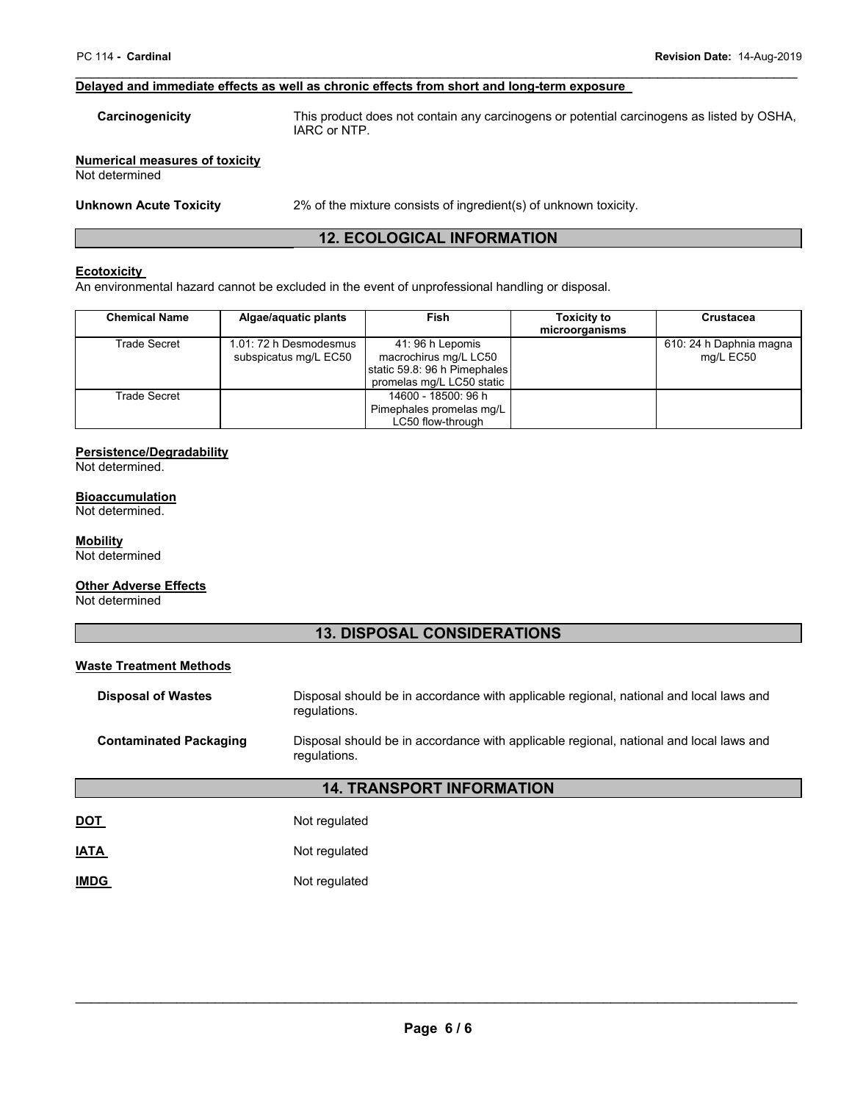#### \_\_\_\_\_\_\_\_\_\_\_\_\_\_\_\_\_\_\_\_\_\_\_\_\_\_\_\_\_\_\_\_\_\_\_\_\_\_\_\_\_\_\_\_\_\_\_\_\_\_\_\_\_\_\_\_\_\_\_\_\_\_\_\_\_\_\_\_\_\_\_\_\_\_\_\_\_\_\_\_\_\_\_\_\_\_\_\_\_\_\_\_\_ **Delayed and immediate effects as well as chronic effects from short and long-term exposure**

**Carcinogenicity** This product does not contain any carcinogens or potential carcinogens as listed by OSHA, IARC or NTP.

**Numerical measures of toxicity** Not determined

**Unknown Acute Toxicity** 2% of the mixture consists of ingredient(s) of unknown toxicity.

# **12. ECOLOGICAL INFORMATION**

#### **Ecotoxicity**

An environmental hazard cannot be excluded in the event of unprofessional handling or disposal.

| <b>Chemical Name</b> | Algae/aquatic plants                            | Fish                                                                                                  | <b>Toxicity to</b><br>microorganisms | Crustacea                            |
|----------------------|-------------------------------------------------|-------------------------------------------------------------------------------------------------------|--------------------------------------|--------------------------------------|
| Trade Secret         | 1.01: 72 h Desmodesmus<br>subspicatus mg/L EC50 | 41:96 h Lepomis<br>macrochirus mg/L LC50<br>static 59.8: 96 h Pimephales<br>promelas mg/L LC50 static |                                      | 610: 24 h Daphnia magna<br>mg/L EC50 |
| Trade Secret         |                                                 | 14600 - 18500: 96 h<br>Pimephales promelas mg/L<br>LC50 flow-through                                  |                                      |                                      |

# **Persistence/Degradability**

Not determined.

#### **Bioaccumulation**

Not determined.

#### **Mobility**

Not determined

#### **Other Adverse Effects**

Not determined

# **13. DISPOSAL CONSIDERATIONS**

# **Waste Treatment Methods**

| <b>Disposal of Wastes</b>     | Disposal should be in accordance with applicable regional, national and local laws and<br>regulations. |  |
|-------------------------------|--------------------------------------------------------------------------------------------------------|--|
| <b>Contaminated Packaging</b> | Disposal should be in accordance with applicable regional, national and local laws and<br>regulations. |  |
|                               | <b>14. TRANSPORT INFORMATION</b>                                                                       |  |
| <u>DOT</u>                    | Not regulated                                                                                          |  |
| <u>IATA</u>                   | Not regulated                                                                                          |  |

**IMDG** Not regulated